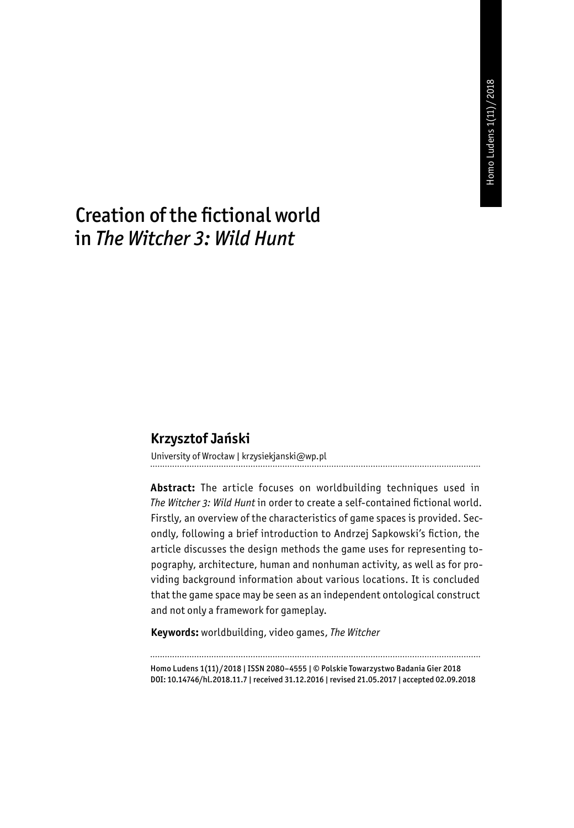# Creation of the fictional world in *The Witcher 3: Wild Hunt*

### **Krzysztof Jański**

University of Wrocław | krzysiekjanski@wp.pl

**Abstract:** The article focuses on worldbuilding techniques used in *The Witcher 3: Wild Hunt* in order to create a self-contained fictional world. Firstly, an overview of the characteristics of game spaces is provided. Secondly, following a brief introduction to Andrzej Sapkowski's fiction, the article discusses the design methods the game uses for representing topography, architecture, human and nonhuman activity, as well as for providing background information about various locations. It is concluded that the game space may be seen as an independent ontological construct and not only a framework for gameplay.

**Keywords:** worldbuilding, video games, *The Witcher*

Homo Ludens 1(11)/2018 | ISSN 2080–4555 | © Polskie Towarzystwo Badania Gier 2018 DOI: 10.14746/hl.2018.11.7 | received 31.12.2016 | revised 21.05.2017 | accepted 02.09.2018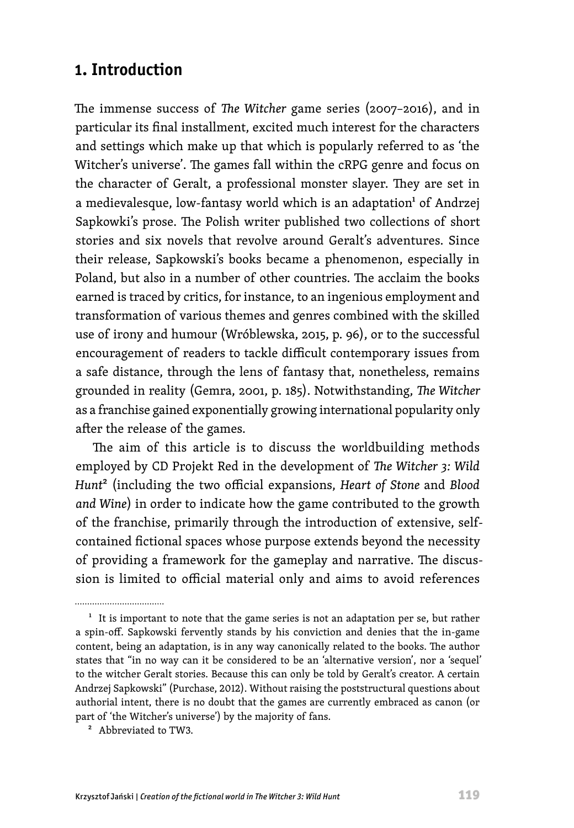## **1. Introduction**

The immense success of *The Witcher* game series (2007–2016), and in particular its final installment, excited much interest for the characters and settings which make up that which is popularly referred to as 'the Witcher's universe'. The games fall within the cRPG genre and focus on the character of Geralt, a professional monster slayer. They are set in a medievalesque, low-fantasy world which is an adaptation<sup>1</sup> of Andrzej Sapkowki's prose. The Polish writer published two collections of short stories and six novels that revolve around Geralt's adventures. Since their release, Sapkowski's books became a phenomenon, especially in Poland, but also in a number of other countries. The acclaim the books earned is traced by critics, for instance, to an ingenious employment and transformation of various themes and genres combined with the skilled use of irony and humour (Wróblewska, 2015, p. 96), or to the successful encouragement of readers to tackle difficult contemporary issues from a safe distance, through the lens of fantasy that, nonetheless, remains grounded in reality (Gemra, 2001, p. 185). Notwithstanding, *The Witcher* as a franchise gained exponentially growing international popularity only after the release of the games.

The aim of this article is to discuss the worldbuilding methods employed by CD Projekt Red in the development of *The Witcher 3: Wild Hunt*2 (including the two official expansions, *Heart of Stone* and *Blood and Wine*) in order to indicate how the game contributed to the growth of the franchise, primarily through the introduction of extensive, selfcontained fictional spaces whose purpose extends beyond the necessity of providing a framework for the gameplay and narrative. The discussion is limited to official material only and aims to avoid references

2 Abbreviated to TW3.

 $<sup>1</sup>$  It is important to note that the game series is not an adaptation per se, but rather</sup> a spin-off. Sapkowski fervently stands by his conviction and denies that the in-game content, being an adaptation, is in any way canonically related to the books. The author states that "in no way can it be considered to be an 'alternative version', nor a 'sequel' to the witcher Geralt stories. Because this can only be told by Geralt's creator. A certain Andrzej Sapkowski" (Purchase, 2012). Without raising the poststructural questions about authorial intent, there is no doubt that the games are currently embraced as canon (or part of 'the Witcher's universe') by the majority of fans.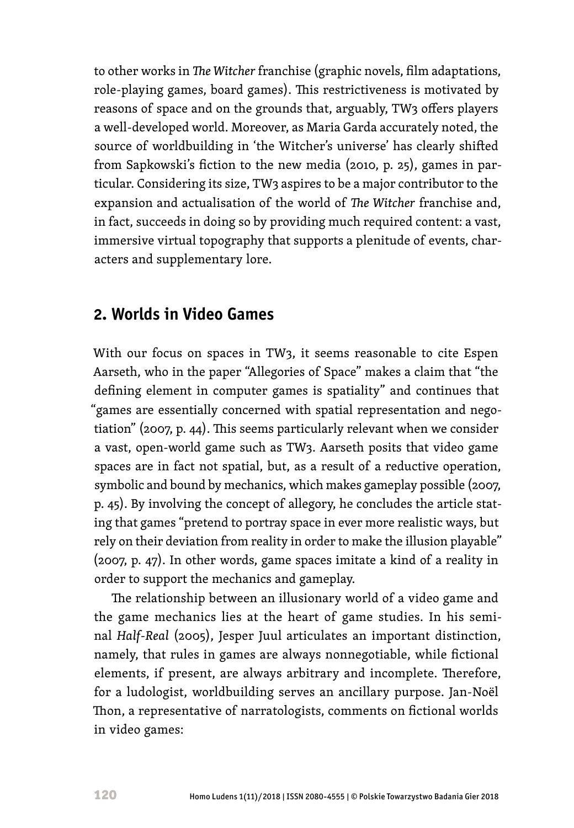to other works in *The Witcher* franchise (graphic novels, film adaptations, role-playing games, board games). This restrictiveness is motivated by reasons of space and on the grounds that, arguably, TW3 offers players a well-developed world. Moreover, as Maria Garda accurately noted, the source of worldbuilding in 'the Witcher's universe' has clearly shifted from Sapkowski's fiction to the new media (2010, p. 25), games in particular. Considering its size, TW3 aspires to be a major contributor to the expansion and actualisation of the world of *The Witcher* franchise and, in fact, succeeds in doing so by providing much required content: a vast, immersive virtual topography that supports a plenitude of events, characters and supplementary lore.

## **2. Worlds in Video Games**

With our focus on spaces in TW3, it seems reasonable to cite Espen Aarseth, who in the paper "Allegories of Space" makes a claim that "the defining element in computer games is spatiality" and continues that "games are essentially concerned with spatial representation and negotiation" (2007, p. 44). This seems particularly relevant when we consider a vast, open-world game such as TW3. Aarseth posits that video game spaces are in fact not spatial, but, as a result of a reductive operation, symbolic and bound by mechanics, which makes gameplay possible (2007, p. 45). By involving the concept of allegory, he concludes the article stating that games "pretend to portray space in ever more realistic ways, but rely on their deviation from reality in order to make the illusion playable" (2007, p. 47). In other words, game spaces imitate a kind of a reality in order to support the mechanics and gameplay.

The relationship between an illusionary world of a video game and the game mechanics lies at the heart of game studies. In his seminal *Half-Real* (2005), Jesper Juul articulates an important distinction, namely, that rules in games are always nonnegotiable, while fictional elements, if present, are always arbitrary and incomplete. Therefore, for a ludologist, worldbuilding serves an ancillary purpose. Jan-Noël Thon, a representative of narratologists, comments on fictional worlds in video games: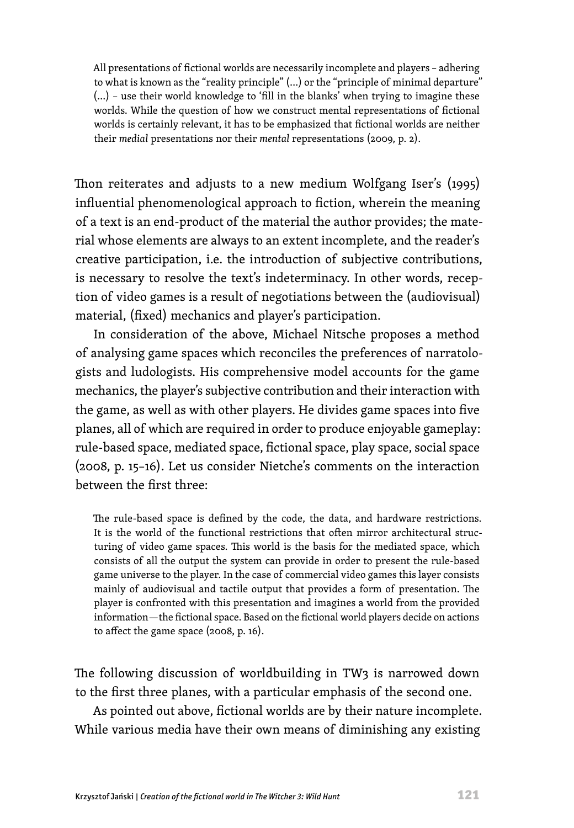All presentations of fictional worlds are necessarily incomplete and players – adhering to what is known as the "reality principle" (…) or the "principle of minimal departure" (…) – use their world knowledge to 'fill in the blanks' when trying to imagine these worlds. While the question of how we construct mental representations of fictional worlds is certainly relevant, it has to be emphasized that fictional worlds are neither their *medial* presentations nor their *mental* representations (2009, p. 2).

Thon reiterates and adjusts to a new medium Wolfgang Iser's (1995) influential phenomenological approach to fiction, wherein the meaning of a text is an end-product of the material the author provides; the material whose elements are always to an extent incomplete, and the reader's creative participation, i.e. the introduction of subjective contributions, is necessary to resolve the text's indeterminacy. In other words, reception of video games is a result of negotiations between the (audiovisual) material, (fixed) mechanics and player's participation.

In consideration of the above, Michael Nitsche proposes a method of analysing game spaces which reconciles the preferences of narratologists and ludologists. His comprehensive model accounts for the game mechanics, the player's subjective contribution and their interaction with the game, as well as with other players. He divides game spaces into five planes, all of which are required in order to produce enjoyable gameplay: rule-based space, mediated space, fictional space, play space, social space (2008, p. 15–16). Let us consider Nietche's comments on the interaction between the first three:

The rule-based space is defined by the code, the data, and hardware restrictions. It is the world of the functional restrictions that often mirror architectural structuring of video game spaces. This world is the basis for the mediated space, which consists of all the output the system can provide in order to present the rule-based game universe to the player. In the case of commercial video games this layer consists mainly of audiovisual and tactile output that provides a form of presentation. The player is confronted with this presentation and imagines a world from the provided information—the fictional space. Based on the fictional world players decide on actions to affect the game space (2008, p. 16).

The following discussion of worldbuilding in TW3 is narrowed down to the first three planes, with a particular emphasis of the second one. As pointed out above, fictional worlds are by their nature incomplete. While various media have their own means of diminishing any existing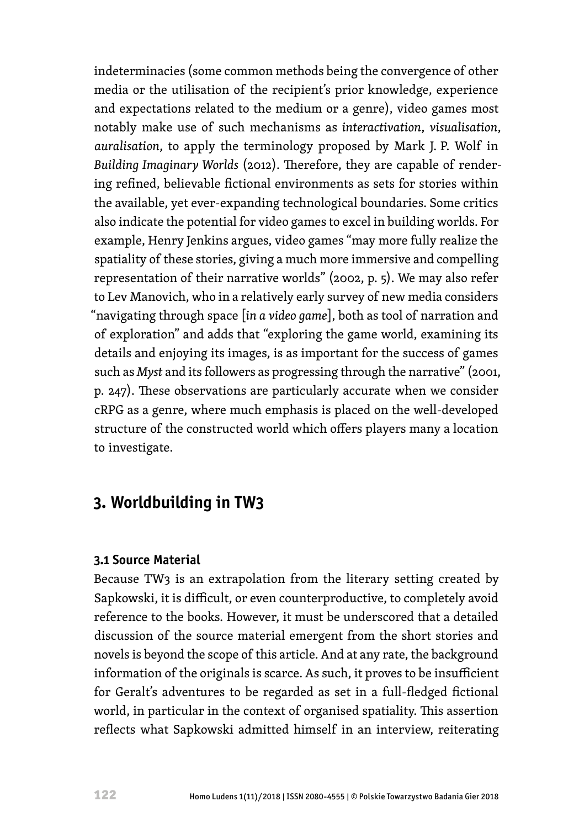indeterminacies (some common methods being the convergence of other media or the utilisation of the recipient's prior knowledge, experience and expectations related to the medium or a genre), video games most notably make use of such mechanisms as *interactivation*, *visualisation*, *auralisation*, to apply the terminology proposed by Mark J. P. Wolf in *Building Imaginary Worlds* (2012). Therefore, they are capable of rendering refined, believable fictional environments as sets for stories within the available, yet ever-expanding technological boundaries. Some critics also indicate the potential for video games to excel in building worlds. For example, Henry Jenkins argues, video games "may more fully realize the spatiality of these stories, giving a much more immersive and compelling representation of their narrative worlds" (2002, p. 5). We may also refer to Lev Manovich, who in a relatively early survey of new media considers "navigating through space [*in a video game*], both as tool of narration and of exploration" and adds that "exploring the game world, examining its details and enjoying its images, is as important for the success of games such as *Myst* and its followers as progressing through the narrative" (2001, p. 247). These observations are particularly accurate when we consider cRPG as a genre, where much emphasis is placed on the well-developed structure of the constructed world which offers players many a location to investigate.

## **3. Worldbuilding in TW3**

#### **3.1 Source Material**

Because TW3 is an extrapolation from the literary setting created by Sapkowski, it is difficult, or even counterproductive, to completely avoid reference to the books. However, it must be underscored that a detailed discussion of the source material emergent from the short stories and novels is beyond the scope of this article. And at any rate, the background information of the originals is scarce. As such, it proves to be insufficient for Geralt's adventures to be regarded as set in a full-fledged fictional world, in particular in the context of organised spatiality. This assertion reflects what Sapkowski admitted himself in an interview, reiterating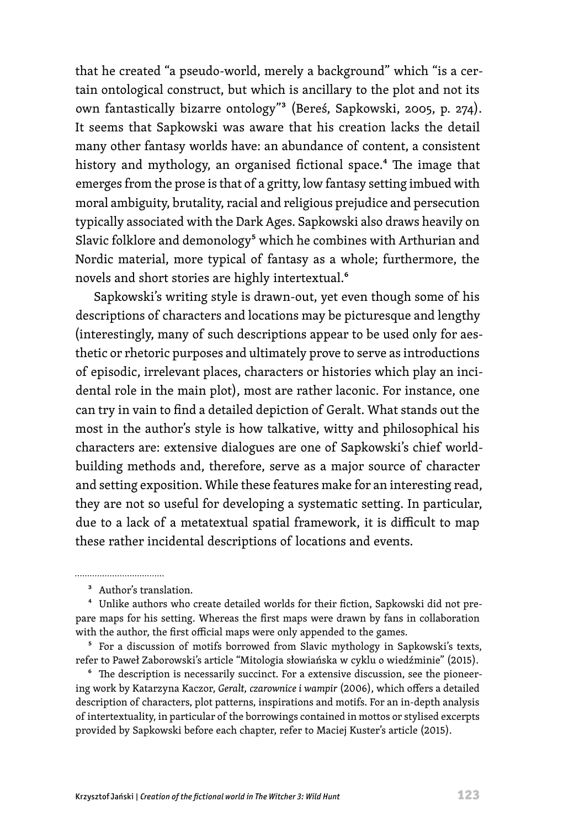that he created "a pseudo-world, merely a background" which "is a certain ontological construct, but which is ancillary to the plot and not its own fantastically bizarre ontology"3 (Bereś, Sapkowski, 2005, p. 274). It seems that Sapkowski was aware that his creation lacks the detail many other fantasy worlds have: an abundance of content, a consistent history and mythology, an organised fictional space.<sup>4</sup> The image that emerges from the prose is that of a gritty, low fantasy setting imbued with moral ambiguity, brutality, racial and religious prejudice and persecution typically associated with the Dark Ages. Sapkowski also draws heavily on Slavic folklore and demonology<sup>5</sup> which he combines with Arthurian and Nordic material, more typical of fantasy as a whole; furthermore, the novels and short stories are highly intertextual.<sup>6</sup>

Sapkowski's writing style is drawn-out, yet even though some of his descriptions of characters and locations may be picturesque and lengthy (interestingly, many of such descriptions appear to be used only for aesthetic or rhetoric purposes and ultimately prove to serve as introductions of episodic, irrelevant places, characters or histories which play an incidental role in the main plot), most are rather laconic. For instance, one can try in vain to find a detailed depiction of Geralt. What stands out the most in the author's style is how talkative, witty and philosophical his characters are: extensive dialogues are one of Sapkowski's chief worldbuilding methods and, therefore, serve as a major source of character and setting exposition. While these features make for an interesting read, they are not so useful for developing a systematic setting. In particular, due to a lack of a metatextual spatial framework, it is difficult to map these rather incidental descriptions of locations and events.

<sup>6</sup> The description is necessarily succinct. For a extensive discussion, see the pioneering work by Katarzyna Kaczor, *Geralt, czarownice i wampir* (2006), which offers a detailed description of characters, plot patterns, inspirations and motifs. For an in-depth analysis of intertextuality, in particular of the borrowings contained in mottos or stylised excerpts provided by Sapkowski before each chapter, refer to Maciej Kuster's article (2015).

<sup>3</sup> Author's translation.

<sup>4</sup> Unlike authors who create detailed worlds for their fiction, Sapkowski did not prepare maps for his setting. Whereas the first maps were drawn by fans in collaboration with the author, the first official maps were only appended to the games.

<sup>&</sup>lt;sup>5</sup> For a discussion of motifs borrowed from Slavic mythology in Sapkowski's texts, refer to Paweł Zaborowski's article "Mitologia słowiańska w cyklu o wiedźminie" (2015).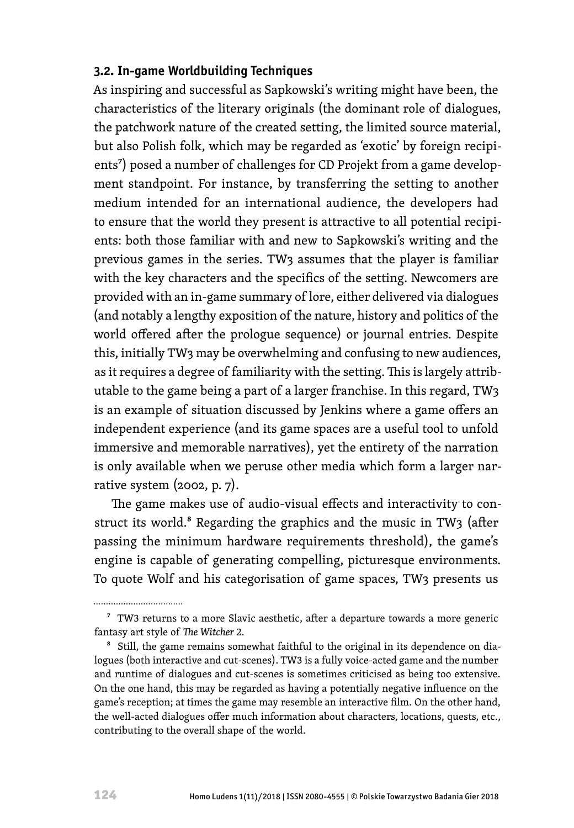#### **3.2. In-game Worldbuilding Techniques**

As inspiring and successful as Sapkowski's writing might have been, the characteristics of the literary originals (the dominant role of dialogues, the patchwork nature of the created setting, the limited source material, but also Polish folk, which may be regarded as 'exotic' by foreign recipients<sup>7</sup>) posed a number of challenges for CD Projekt from a game development standpoint. For instance, by transferring the setting to another medium intended for an international audience, the developers had to ensure that the world they present is attractive to all potential recipients: both those familiar with and new to Sapkowski's writing and the previous games in the series. TW3 assumes that the player is familiar with the key characters and the specifics of the setting. Newcomers are provided with an in-game summary of lore, either delivered via dialogues (and notably a lengthy exposition of the nature, history and politics of the world offered after the prologue sequence) or journal entries. Despite this, initially TW3 may be overwhelming and confusing to new audiences, as it requires a degree of familiarity with the setting. This is largely attributable to the game being a part of a larger franchise. In this regard, TW3 is an example of situation discussed by Jenkins where a game offers an independent experience (and its game spaces are a useful tool to unfold immersive and memorable narratives), yet the entirety of the narration is only available when we peruse other media which form a larger narrative system (2002, p. 7).

The game makes use of audio-visual effects and interactivity to construct its world.<sup>8</sup> Regarding the graphics and the music in TW3 (after passing the minimum hardware requirements threshold), the game's engine is capable of generating compelling, picturesque environments. To quote Wolf and his categorisation of game spaces, TW3 presents us

<sup>&</sup>lt;sup>7</sup> TW3 returns to a more Slavic aesthetic, after a departure towards a more generic fantasy art style of *The Witcher 2*.

<sup>8</sup> Still, the game remains somewhat faithful to the original in its dependence on dialogues (both interactive and cut-scenes). TW3 is a fully voice-acted game and the number and runtime of dialogues and cut-scenes is sometimes criticised as being too extensive. On the one hand, this may be regarded as having a potentially negative influence on the game's reception; at times the game may resemble an interactive film. On the other hand, the well-acted dialogues offer much information about characters, locations, quests, etc., contributing to the overall shape of the world.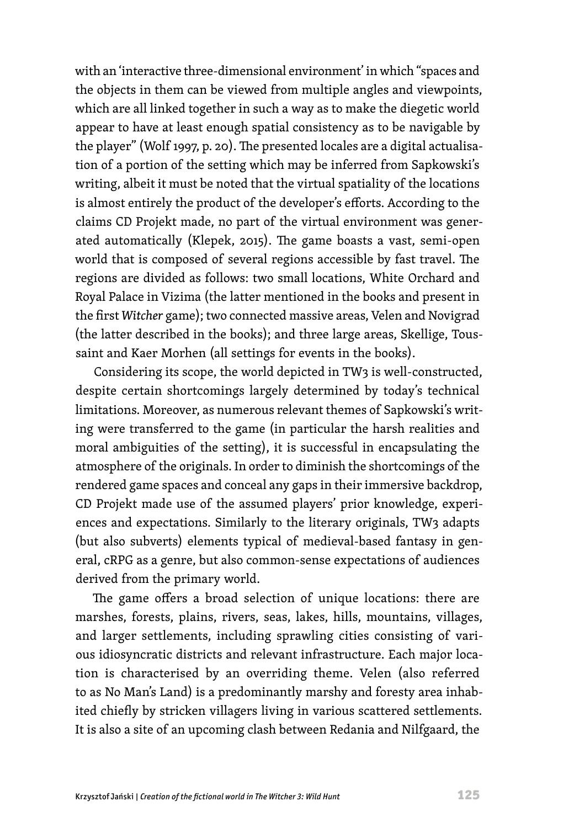with an 'interactive three-dimensional environment' in which "spaces and the objects in them can be viewed from multiple angles and viewpoints, which are all linked together in such a way as to make the diegetic world appear to have at least enough spatial consistency as to be navigable by the player" (Wolf 1997, p. 20). The presented locales are a digital actualisation of a portion of the setting which may be inferred from Sapkowski's writing, albeit it must be noted that the virtual spatiality of the locations is almost entirely the product of the developer's efforts. According to the claims CD Projekt made, no part of the virtual environment was generated automatically (Klepek, 2015). The game boasts a vast, semi-open world that is composed of several regions accessible by fast travel. The regions are divided as follows: two small locations, White Orchard and Royal Palace in Vizima (the latter mentioned in the books and present in the first *Witcher* game); two connected massive areas, Velen and Novigrad (the latter described in the books); and three large areas, Skellige, Toussaint and Kaer Morhen (all settings for events in the books).

Considering its scope, the world depicted in TW3 is well-constructed, despite certain shortcomings largely determined by today's technical limitations. Moreover, as numerous relevant themes of Sapkowski's writing were transferred to the game (in particular the harsh realities and moral ambiguities of the setting), it is successful in encapsulating the atmosphere of the originals. In order to diminish the shortcomings of the rendered game spaces and conceal any gaps in their immersive backdrop, CD Projekt made use of the assumed players' prior knowledge, experiences and expectations. Similarly to the literary originals, TW3 adapts (but also subverts) elements typical of medieval-based fantasy in general, cRPG as a genre, but also common-sense expectations of audiences derived from the primary world.

The game offers a broad selection of unique locations: there are marshes, forests, plains, rivers, seas, lakes, hills, mountains, villages, and larger settlements, including sprawling cities consisting of various idiosyncratic districts and relevant infrastructure. Each major location is characterised by an overriding theme. Velen (also referred to as No Man's Land) is a predominantly marshy and foresty area inhabited chiefly by stricken villagers living in various scattered settlements. It is also a site of an upcoming clash between Redania and Nilfgaard, the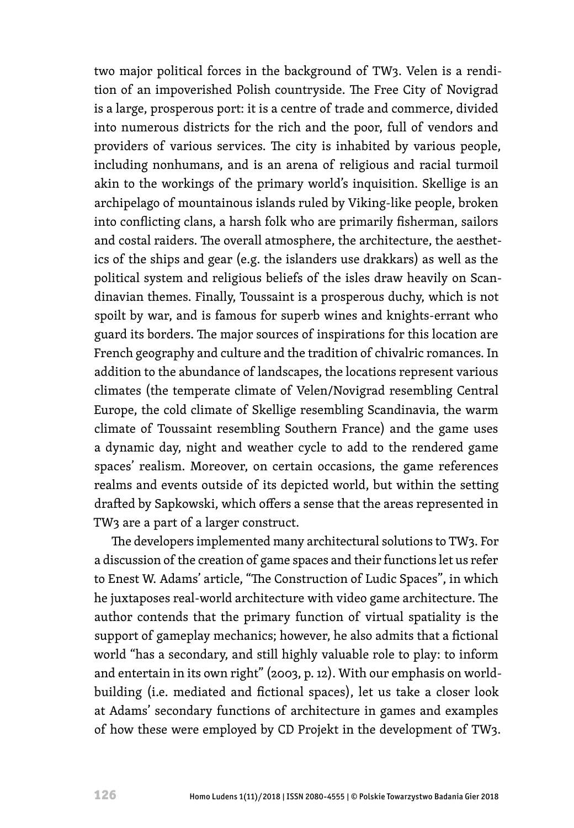two major political forces in the background of TW3. Velen is a rendition of an impoverished Polish countryside. The Free City of Novigrad is a large, prosperous port: it is a centre of trade and commerce, divided into numerous districts for the rich and the poor, full of vendors and providers of various services. The city is inhabited by various people, including nonhumans, and is an arena of religious and racial turmoil akin to the workings of the primary world's inquisition. Skellige is an archipelago of mountainous islands ruled by Viking-like people, broken into conflicting clans, a harsh folk who are primarily fisherman, sailors and costal raiders. The overall atmosphere, the architecture, the aesthetics of the ships and gear (e.g. the islanders use drakkars) as well as the political system and religious beliefs of the isles draw heavily on Scandinavian themes. Finally, Toussaint is a prosperous duchy, which is not spoilt by war, and is famous for superb wines and knights-errant who guard its borders. The major sources of inspirations for this location are French geography and culture and the tradition of chivalric romances. In addition to the abundance of landscapes, the locations represent various climates (the temperate climate of Velen/Novigrad resembling Central Europe, the cold climate of Skellige resembling Scandinavia, the warm climate of Toussaint resembling Southern France) and the game uses a dynamic day, night and weather cycle to add to the rendered game spaces' realism. Moreover, on certain occasions, the game references realms and events outside of its depicted world, but within the setting drafted by Sapkowski, which offers a sense that the areas represented in TW3 are a part of a larger construct.

The developers implemented many architectural solutions to TW3. For a discussion of the creation of game spaces and their functions let us refer to Enest W. Adams' article, "The Construction of Ludic Spaces", in which he juxtaposes real-world architecture with video game architecture. The author contends that the primary function of virtual spatiality is the support of gameplay mechanics; however, he also admits that a fictional world "has a secondary, and still highly valuable role to play: to inform and entertain in its own right" (2003, p. 12). With our emphasis on worldbuilding (i.e. mediated and fictional spaces), let us take a closer look at Adams' secondary functions of architecture in games and examples of how these were employed by CD Projekt in the development of TW3.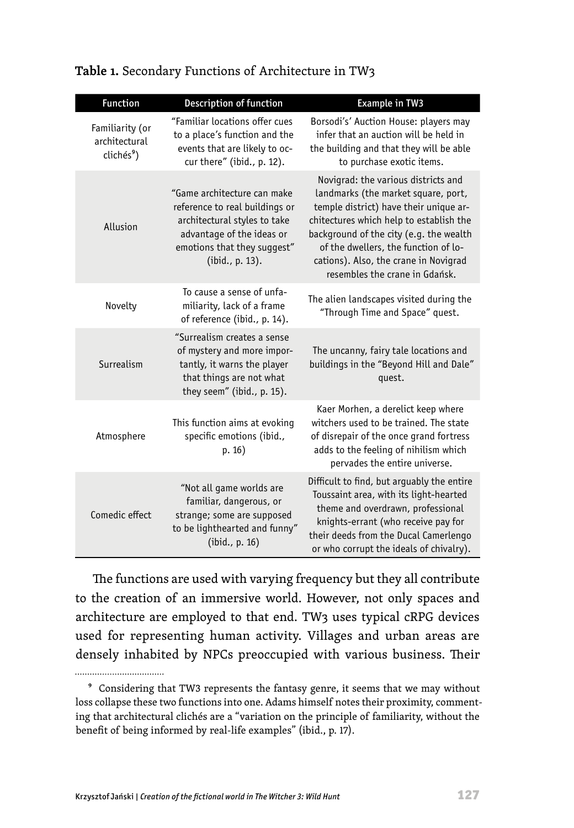| <b>Function</b>                                            | Description of function                                                                                                                                                      | <b>Example in TW3</b>                                                                                                                                                                                                                                                                                                         |
|------------------------------------------------------------|------------------------------------------------------------------------------------------------------------------------------------------------------------------------------|-------------------------------------------------------------------------------------------------------------------------------------------------------------------------------------------------------------------------------------------------------------------------------------------------------------------------------|
| Familiarity (or<br>architectural<br>clichés <sup>9</sup> ) | "Familiar locations offer cues<br>to a place's function and the<br>events that are likely to oc-<br>cur there" (ibid., p. 12).                                               | Borsodi's' Auction House: players may<br>infer that an auction will be held in<br>the building and that they will be able<br>to purchase exotic items.                                                                                                                                                                        |
| Allusion                                                   | "Game architecture can make<br>reference to real buildings or<br>architectural styles to take<br>advantage of the ideas or<br>emotions that they suggest"<br>(ibid., p. 13). | Novigrad: the various districts and<br>landmarks (the market square, port,<br>temple district) have their unique ar-<br>chitectures which help to establish the<br>background of the city (e.g. the wealth<br>of the dwellers, the function of lo-<br>cations). Also, the crane in Novigrad<br>resembles the crane in Gdańsk. |
| Novelty                                                    | To cause a sense of unfa-<br>miliarity, lack of a frame<br>of reference (ibid., p. 14).                                                                                      | The alien landscapes visited during the<br>"Through Time and Space" quest.                                                                                                                                                                                                                                                    |
| Surrealism                                                 | "Surrealism creates a sense<br>of mystery and more impor-<br>tantly, it warns the player<br>that things are not what<br>they seem" (ibid., p. 15).                           | The uncanny, fairy tale locations and<br>buildings in the "Beyond Hill and Dale"<br>quest.                                                                                                                                                                                                                                    |
| Atmosphere                                                 | This function aims at evoking<br>specific emotions (ibid.,<br>p. 16)                                                                                                         | Kaer Morhen, a derelict keep where<br>witchers used to be trained. The state<br>of disrepair of the once grand fortress<br>adds to the feeling of nihilism which<br>pervades the entire universe.                                                                                                                             |
| Comedic effect                                             | "Not all game worlds are<br>familiar, dangerous, or<br>strange; some are supposed<br>to be lighthearted and funny"<br>(ibid., p. 16)                                         | Difficult to find, but arguably the entire<br>Toussaint area, with its light-hearted<br>theme and overdrawn, professional<br>knights-errant (who receive pay for<br>their deeds from the Ducal Camerlengo<br>or who corrupt the ideals of chivalry).                                                                          |

#### Table 1. Secondary Functions of Architecture in TW<sub>3</sub>

The functions are used with varying frequency but they all contribute to the creation of an immersive world. However, not only spaces and architecture are employed to that end. TW3 uses typical cRPG devices used for representing human activity. Villages and urban areas are densely inhabited by NPCs preoccupied with various business. Their

................................

<sup>9</sup> Considering that TW3 represents the fantasy genre, it seems that we may without loss collapse these two functions into one. Adams himself notes their proximity, commenting that architectural clichés are a "variation on the principle of familiarity, without the benefit of being informed by real-life examples" (ibid., p. 17).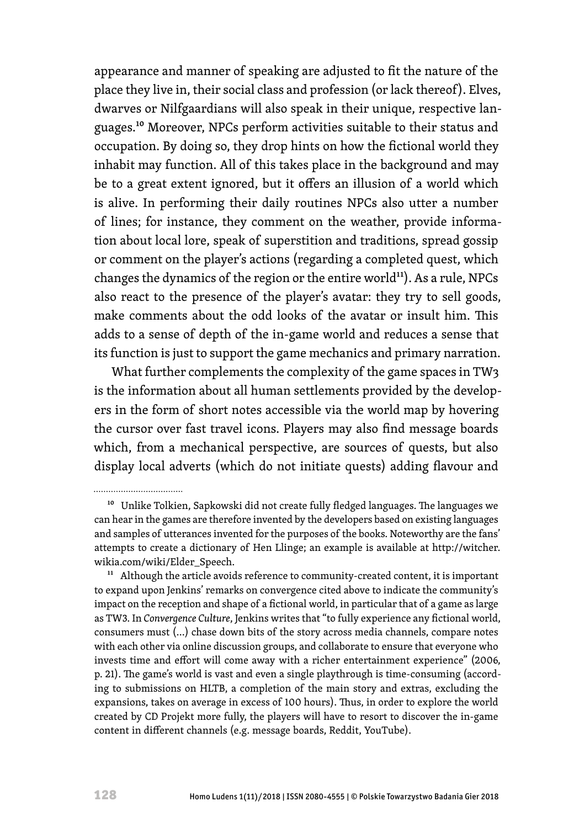appearance and manner of speaking are adjusted to fit the nature of the place they live in, their social class and profession (or lack thereof). Elves, dwarves or Nilfgaardians will also speak in their unique, respective languages.10 Moreover, NPCs perform activities suitable to their status and occupation. By doing so, they drop hints on how the fictional world they inhabit may function. All of this takes place in the background and may be to a great extent ignored, but it offers an illusion of a world which is alive. In performing their daily routines NPCs also utter a number of lines; for instance, they comment on the weather, provide information about local lore, speak of superstition and traditions, spread gossip or comment on the player's actions (regarding a completed quest, which changes the dynamics of the region or the entire world<sup>11</sup>). As a rule, NPCs also react to the presence of the player's avatar: they try to sell goods, make comments about the odd looks of the avatar or insult him. This adds to a sense of depth of the in-game world and reduces a sense that its function is just to support the game mechanics and primary narration.

What further complements the complexity of the game spaces in TW3 is the information about all human settlements provided by the developers in the form of short notes accessible via the world map by hovering the cursor over fast travel icons. Players may also find message boards which, from a mechanical perspective, are sources of quests, but also display local adverts (which do not initiate quests) adding flavour and

 $11$  Although the article avoids reference to community-created content, it is important to expand upon Jenkins' remarks on convergence cited above to indicate the community's impact on the reception and shape of a fictional world, in particular that of a game as large as TW3. In *Convergence Culture*, Jenkins writes that "to fully experience any fictional world, consumers must (…) chase down bits of the story across media channels, compare notes with each other via online discussion groups, and collaborate to ensure that everyone who invests time and effort will come away with a richer entertainment experience" (2006, p. 21). The game's world is vast and even a single playthrough is time-consuming (according to submissions on HLTB, a completion of the main story and extras, excluding the expansions, takes on average in excess of 100 hours). Thus, in order to explore the world created by CD Projekt more fully, the players will have to resort to discover the in-game content in different channels (e.g. message boards, Reddit, YouTube).

................................

<sup>&</sup>lt;sup>10</sup> Unlike Tolkien, Sapkowski did not create fully fledged languages. The languages we can hear in the games are therefore invented by the developers based on existing languages and samples of utterances invented for the purposes of the books. Noteworthy are the fans' attempts to create a dictionary of Hen Llinge; an example is available at [http://witcher.](http://witcher.wikia.com/wiki/Elder_Speech) [wikia.com/wiki/Elder\\_Speech](http://witcher.wikia.com/wiki/Elder_Speech).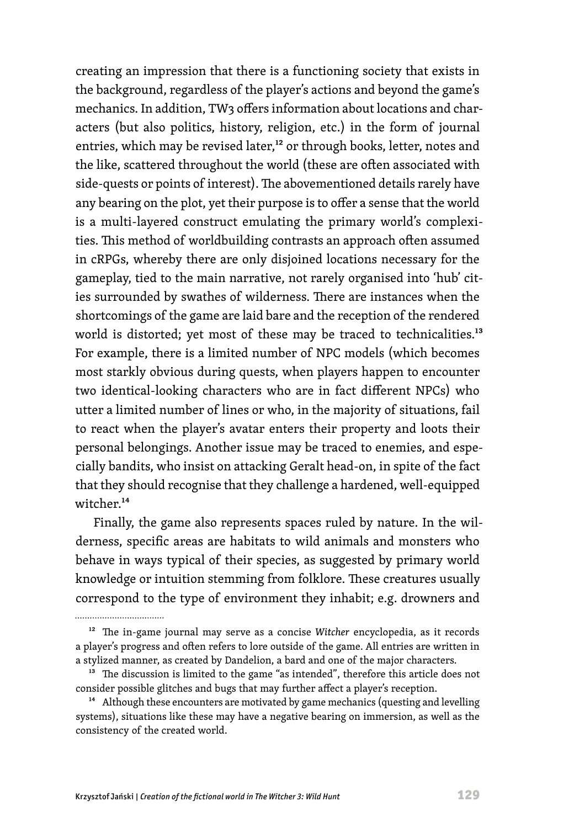creating an impression that there is a functioning society that exists in the background, regardless of the player's actions and beyond the game's mechanics. In addition, TW3 offers information about locations and characters (but also politics, history, religion, etc.) in the form of journal entries, which may be revised later,<sup>12</sup> or through books, letter, notes and the like, scattered throughout the world (these are often associated with side-quests or points of interest). The abovementioned details rarely have any bearing on the plot, yet their purpose is to offer a sense that the world is a multi-layered construct emulating the primary world's complexities. This method of worldbuilding contrasts an approach often assumed in cRPGs, whereby there are only disjoined locations necessary for the gameplay, tied to the main narrative, not rarely organised into 'hub' cities surrounded by swathes of wilderness. There are instances when the shortcomings of the game are laid bare and the reception of the rendered world is distorted; yet most of these may be traced to technicalities.<sup>13</sup> For example, there is a limited number of NPC models (which becomes most starkly obvious during quests, when players happen to encounter two identical-looking characters who are in fact different NPCs) who utter a limited number of lines or who, in the majority of situations, fail to react when the player's avatar enters their property and loots their personal belongings. Another issue may be traced to enemies, and especially bandits, who insist on attacking Geralt head-on, in spite of the fact that they should recognise that they challenge a hardened, well-equipped witcher.14

Finally, the game also represents spaces ruled by nature. In the wilderness, specific areas are habitats to wild animals and monsters who behave in ways typical of their species, as suggested by primary world knowledge or intuition stemming from folklore. These creatures usually correspond to the type of environment they inhabit; e.g. drowners and

.................................

<sup>12</sup> The in-game journal may serve as a concise *Witcher* encyclopedia, as it records a player's progress and often refers to lore outside of the game. All entries are written in a stylized manner, as created by Dandelion, a bard and one of the major characters.

<sup>&</sup>lt;sup>13</sup> The discussion is limited to the game "as intended", therefore this article does not consider possible glitches and bugs that may further affect a player's reception.

<sup>&</sup>lt;sup>14</sup> Although these encounters are motivated by game mechanics (questing and levelling systems), situations like these may have a negative bearing on immersion, as well as the consistency of the created world.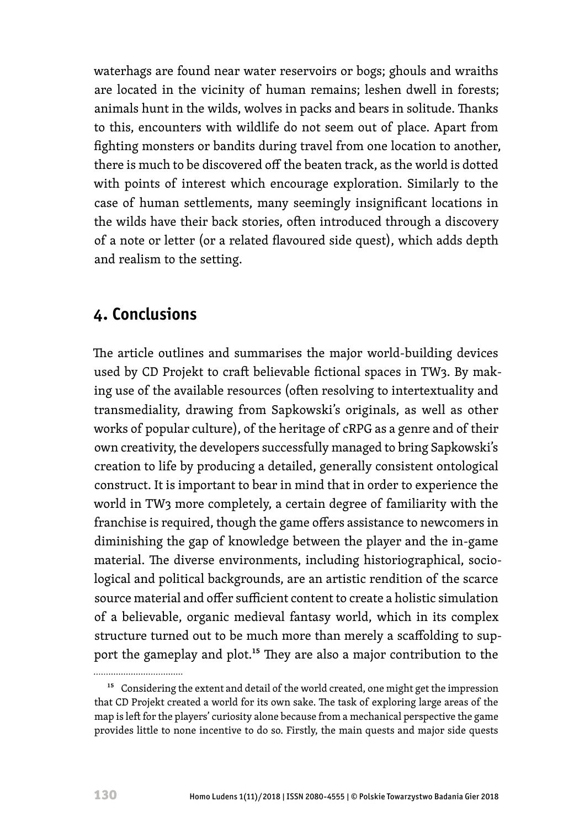waterhags are found near water reservoirs or bogs; ghouls and wraiths are located in the vicinity of human remains; leshen dwell in forests; animals hunt in the wilds, wolves in packs and bears in solitude. Thanks to this, encounters with wildlife do not seem out of place. Apart from fighting monsters or bandits during travel from one location to another, there is much to be discovered off the beaten track, as the world is dotted with points of interest which encourage exploration. Similarly to the case of human settlements, many seemingly insignificant locations in the wilds have their back stories, often introduced through a discovery of a note or letter (or a related flavoured side quest), which adds depth and realism to the setting.

## **4. Conclusions**

The article outlines and summarises the major world-building devices used by CD Projekt to craft believable fictional spaces in TW3. By making use of the available resources (often resolving to intertextuality and transmediality, drawing from Sapkowski's originals, as well as other works of popular culture), of the heritage of cRPG as a genre and of their own creativity, the developers successfully managed to bring Sapkowski's creation to life by producing a detailed, generally consistent ontological construct. It is important to bear in mind that in order to experience the world in TW3 more completely, a certain degree of familiarity with the franchise is required, though the game offers assistance to newcomers in diminishing the gap of knowledge between the player and the in-game material. The diverse environments, including historiographical, sociological and political backgrounds, are an artistic rendition of the scarce source material and offer sufficient content to create a holistic simulation of a believable, organic medieval fantasy world, which in its complex structure turned out to be much more than merely a scaffolding to support the gameplay and plot.<sup>15</sup> They are also a major contribution to the

<sup>&</sup>lt;sup>15</sup> Considering the extent and detail of the world created, one might get the impression that CD Projekt created a world for its own sake. The task of exploring large areas of the map is left for the players' curiosity alone because from a mechanical perspective the game provides little to none incentive to do so. Firstly, the main quests and major side quests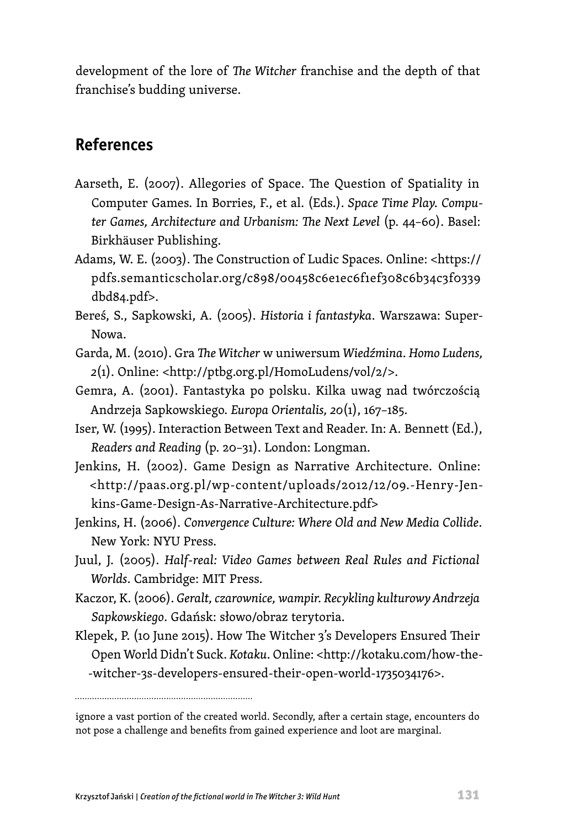development of the lore of *The Witcher* franchise and the depth of that franchise's budding universe.

## **References**

- Aarseth, E. (2007). Allegories of Space. The Question of Spatiality in Computer Games. In Borries, F., et al. (Eds.). *Space Time Play. Computer Games, Architecture and Urbanism: The Next Level* (p. 44–60). Basel: Birkhäuser Publishing.
- Adams, W. E. (2003). The Construction of Ludic Spaces. Online: <https:// pdfs.semanticscholar.org/c898/00458c6e1ec6f1ef308c6b34c3f0339 dbd84.pdf>.
- Bereś, S., Sapkowski, A. (2005). *Historia i fantastyka*. Warszawa: Super-Nowa.
- Garda, M. (2010). Gra *The Witcher* w uniwersum *Wiedźmina*. *Homo Ludens, 2*(1). Online: [<http://ptbg.org.pl/HomoLudens/vol/2/>](http://ptbg.org.pl/HomoLudens/vol/2/).
- Gemra, A. (2001). Fantastyka po polsku. Kilka uwag nad twórczością Andrzeja Sapkowskiego. *Europa Orientalis, 20*(1), 167–185.
- Iser, W. (1995). Interaction Between Text and Reader. In: A. Bennett (Ed.), *Readers and Reading* (p. 20–31). London: Longman.
- Jenkins, H. (2002). Game Design as Narrative Architecture. Online: <[http://paas.org.pl/wp-content/uploads/2012/12/09.-Henry-Jen](http://paas.org.pl/wp-content/uploads/2012/12/09.-Henry-Jenkins-Game-Design-As-Narrative-Architecture.pdf)[kins-Game-Design-As-Narrative-Architecture.pdf>](http://paas.org.pl/wp-content/uploads/2012/12/09.-Henry-Jenkins-Game-Design-As-Narrative-Architecture.pdf)
- Jenkins, H. (2006). *Convergence Culture: Where Old and New Media Collide*. New York: NYU Press.
- Juul, J. (2005). *Half-real: Video Games between Real Rules and Fictional Worlds*. Cambridge: MIT Press.
- Kaczor, K. (2006). *Geralt, czarownice, wampir. Recykling kulturowy Andrzeja Sapkowskiego*. Gdańsk: słowo/obraz terytoria.
- Klepek, P. (10 June 2015). How The Witcher 3's Developers Ensured Their Open World Didn't Suck. *Kotaku*. Online: <[http://kotaku.com/how-the-](http://kotaku.com/how-the-witcher-3s-developers-ensured-their-open-world-1735034176) [-witcher-3s-developers-ensured-their-open-world-1735034176>](http://kotaku.com/how-the-witcher-3s-developers-ensured-their-open-world-1735034176).

ignore a vast portion of the created world. Secondly, after a certain stage, encounters do not pose a challenge and benefits from gained experience and loot are marginal.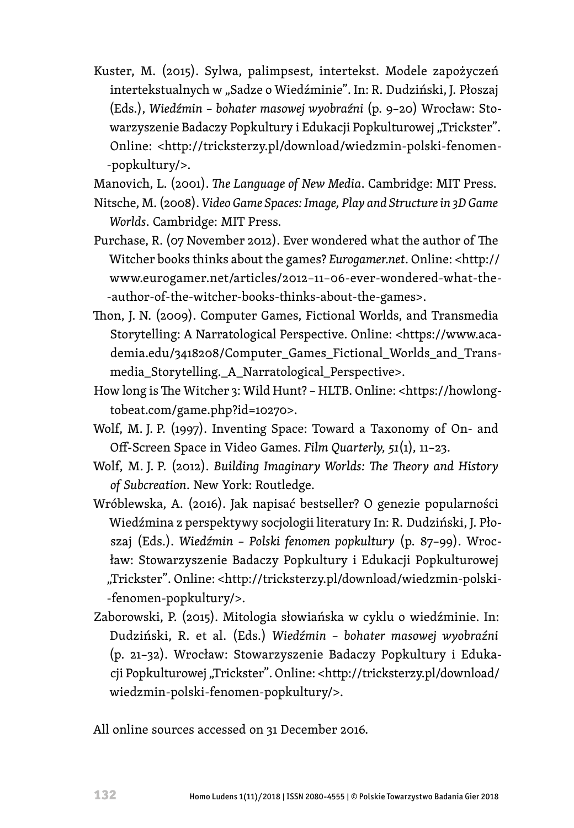Kuster, M. (2015). Sylwa, palimpsest, intertekst. Modele zapożyczeń intertekstualnych w "Sadze o Wiedźminie". In: R. Dudziński, J. Płoszaj (Eds.), *Wiedźmin – bohater masowej wyobraźni* (p. 9–20) Wrocław: Stowarzyszenie Badaczy Popkultury i Edukacji Popkulturowej "Trickster". Online: <[http://tricksterzy.pl/download/wiedzmin-polski-fenomen-](http://tricksterzy.pl/download/wiedzmin-polski-fenomen-popkultury/) [-popkultury/>](http://tricksterzy.pl/download/wiedzmin-polski-fenomen-popkultury/).

Manovich, L. (2001). *The Language of New Media*. Cambridge: MIT Press.

- Nitsche, M. (2008). *Video Game Spaces: Image, Play and Structure in 3D Game Worlds*. Cambridge: MIT Press.
- Purchase, R. (07 November 2012). Ever wondered what the author of The Witcher books thinks about the games? *Eurogamer.net*. Online: [<http://](http://www.eurogamer.net/articles/2012-11-06-ever-wondered-what-the-author-of-the-witcher-books-thinks-about-the-games) [www.eurogamer.net/articles/2012–11–06-ever-wondered-what-the-](http://www.eurogamer.net/articles/2012-11-06-ever-wondered-what-the-author-of-the-witcher-books-thinks-about-the-games) [-author-of-the-witcher-books-thinks-about-the-games>](http://www.eurogamer.net/articles/2012-11-06-ever-wondered-what-the-author-of-the-witcher-books-thinks-about-the-games).
- Thon, J. N. (2009). Computer Games, Fictional Worlds, and Transmedia Storytelling: A Narratological Perspective. Online: [<https://www.aca](https://www.academia.edu/3418208/Computer_Games_Fictional_Worlds_and_Transmedia_Storytelling._A_Narratological_Perspective)[demia.edu/3418208/Computer\\_Games\\_Fictional\\_Worlds\\_and\\_Trans](https://www.academia.edu/3418208/Computer_Games_Fictional_Worlds_and_Transmedia_Storytelling._A_Narratological_Perspective)[media\\_Storytelling.\\_A\\_Narratological\\_Perspective>](https://www.academia.edu/3418208/Computer_Games_Fictional_Worlds_and_Transmedia_Storytelling._A_Narratological_Perspective).
- How long is The Witcher 3: Wild Hunt? HLTB. Online: <[https://howlong](https://howlongtobeat.com/game.php?id=10270)[tobeat.com/game.php?id=10270>](https://howlongtobeat.com/game.php?id=10270).
- Wolf, M. J. P. (1997). Inventing Space: Toward a Taxonomy of On- and Off-Screen Space in Video Games. *Film Quarterly, 51*(1)*,* 11–23.
- Wolf, M. J. P. (2012). *Building Imaginary Worlds: The Theory and History of Subcreation*. New York: Routledge.
- Wróblewska, A. (2016). Jak napisać bestseller? O genezie popularności Wiedźmina z perspektywy socjologii literatury In: R. Dudziński, J. Płoszaj (Eds.). *Wiedźmin – Polski fenomen popkultury* (p. 87–99). Wrocław: Stowarzyszenie Badaczy Popkultury i Edukacji Popkulturowej "Trickster". Online: [<http://tricksterzy.pl/download/wiedzmin-polski-](http://tricksterzy.pl/download/wiedzmin-polski-fenomen-popkultury/) [-fenomen-popkultury/](http://tricksterzy.pl/download/wiedzmin-polski-fenomen-popkultury/)>.
- Zaborowski, P. (2015). Mitologia słowiańska w cyklu o wiedźminie. In: Dudziński, R. et al. (Eds.) *Wiedźmin – bohater masowej wyobraźni* (p. 21–32). Wrocław: Stowarzyszenie Badaczy Popkultury i Edukacji Popkulturowej "Trickster". Online: <[http://tricksterzy.pl/download/](http://tricksterzy.pl/download/wiedzmin-polski-fenomen-popkultury/) [wiedzmin-polski-fenomen-popkultury/](http://tricksterzy.pl/download/wiedzmin-polski-fenomen-popkultury/)>.

All online sources accessed on 31 December 2016.